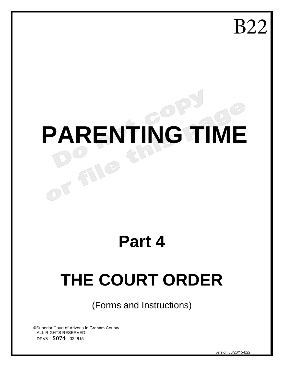B22

# **PARENTING TIME**

# **Part 4**

# **THE COURT ORDER**

(Forms and Instructions)

©Superior Court of Arizona in Graham County ALL RIGHTS RESERVED DRV8 – **5074** - 022615

FILE

version 06/26/15-b22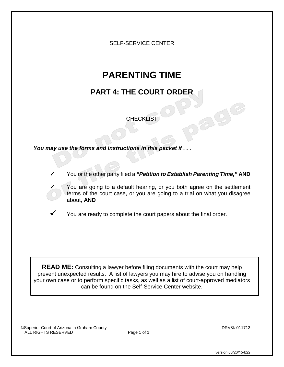SELF-SERVICE CENTER

# **PARENTING TIME**

# **PART 4: THE COURT ORDER**

**CHECKLIST** 

*You may use the forms and instructions in this packet if . . .*

- You or the other party filed a *"Petition to Establish Parenting Time,"* **AND**
	- You are going to a default hearing, or you both agree on the settlement terms of the court case, or you are going to a trial on what you disagree about, **AND**
- You are ready to complete the court papers about the final order.

**READ ME:** Consulting a lawyer before filing documents with the court may help prevent unexpected results. A list of lawyers you may hire to advise you on handling your own case or to perform specific tasks, as well as a list of court-approved mediators can be found on the Self-Service Center website.

©Superior Court of Arizona in Graham County<br>
ALL RIGHTS RESERVED **DRV8k-011713** ALL RIGHTS RESERVED

version 06/26/15-b22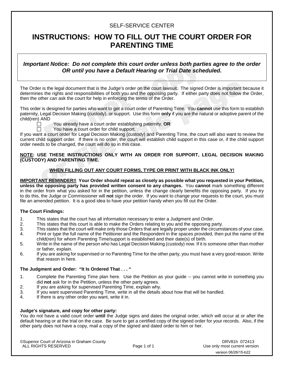#### SELF-SERVICE CENTER

# **INSTRUCTIONS: HOW TO FILL OUT THE COURT ORDER FOR PARENTING TIME**

*Important Notice: Do not complete this court order unless both parties agree to the order OR until you have a Default Hearing or Trial Date scheduled.*

The Order is the legal document that is the Judge's order on the court lawsuit. The signed Order is important because it determines the rights and responsibilities of both you and the opposing party. If either party does not follow the Order, then the other can ask the court for help in enforcing the terms of the Order.

This order is designed for parties who want to get a court order of Parenting Time. You **cannot** use this form to establish paternity, Legal Decision Making (custody), or support. Use this form **only** if you are the natural or adoptive parent of the child(ren) AND



You already have a court order establishing paternity, **OR**

You have a court order for child support.

If you want a court order for Legal Decision Making (custody) and Parenting Time, the court will also want to review the current child support order. If there is no order, the court will establish child support in this case or, if the child support order needs to be changed, the court will do so in this case.

#### **NOTE: USE THESE INSTRUCTIONS ONLY WITH AN ORDER FOR SUPPORT, LEGAL DECISION MAKING (CUSTODY) AND PARENTING TIME.**

#### **WHEN FILLING OUT ANY COURT FORMS, TYPE OR PRINT WITH BLACK INK ONLY!**

**IMPORTANT REMINDER!! Your Order should repeat as closely as possible what you requested in your Petition, unless the opposing party has provided written consent to any changes.** You **cannot** mark something different in the order from what you asked for in the petition, unless the change clearly benefits the opposing party. If you try to do this, the Judge or Commissioner will **not** sign the order. If you want to change your requests to the court, you must file an amended petition. It is a good idea to have your petition handy when you fill out the Order.

#### **The Court Findings:**

- 1. This states that the court has all information necessary to enter a Judgment and Order.<br>2. This states that this court is able to make the Orders relating to you and the opposing pa
- This states that this court is able to make the Orders relating to you and the opposing party.
- 3. This states that the court will make only those Orders that are legally proper under the circumstances of your case.<br>4. Print or type the full name of the Petitioner and the Respondent in the spaces provided, then put t
- Print or type the full name of the Petitioner and the Respondent in the spaces provided, then put the name of the child(ren) for whom Parenting Time/support is established and their date(s) of birth.
- 5. Write in the name of the person who has Legal Decision Making (custody) now. If it is someone other than mother or father, explain.
- 6. If you are asking for supervised or no Parenting Time for the other party, you must have a very good reason. Write that reason in here.

#### **The Judgment and Order: "It Is Ordered That . . . "**

- 1. Complete the Parenting Time plan here. Use the Petition as your guide -- you cannot write in something you did **not** ask for in the Petition, unless the other party agrees.
- 2. If you are asking for supervised Parenting Time, explain why.
- 3. If you want supervised Parenting Time, write in all the details about how that will be handled.
- 4. If there is any other order you want, write it in.

#### **Judge's signature, and copy for other party:**

You do not have a valid court order **until** the Judge signs and dates the original order, which will occur at or after the default hearing or at the trial on the case. Be sure to get a certified copy of the signed order for your records. Also, if the other party does not have a copy, mail a copy of the signed and dated order to him or her.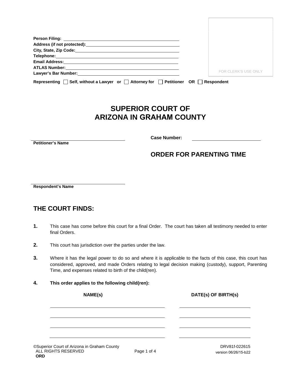| Lawyer's Bar Number: Exercise of the Second Second Second Second Second Second Second Second Second Second Second Second Second Second Second Second Second Second Second Second Second Second Second Second Second Second Sec | FOR CLERK'S USE ONLY |
|--------------------------------------------------------------------------------------------------------------------------------------------------------------------------------------------------------------------------------|----------------------|
|                                                                                                                                                                                                                                |                      |
| Self, without a Lawyer or $\Box$ Attorney for<br>Petitioner OR  <br>Representing                                                                                                                                               | Respondent           |

# **SUPERIOR COURT OF ARIZONA IN GRAHAM COUNTY**

**Petitioner's Name**

**Case Number:**

## **ORDER FOR PARENTING TIME**

**Respondent's Name**

## **THE COURT FINDS:**

- **1.** This case has come before this court for a final Order. The court has taken all testimony needed to enter final Orders.
- **2.** This court has jurisdiction over the parties under the law.
- **3.** Where it has the legal power to do so and where it is applicable to the facts of this case, this court has considered, approved, and made Orders relating to legal decision making (custody), support, Parenting Time, and expenses related to birth of the child(ren).
- **4. This order applies to the following child(ren):**

**NAME(s) DATE(s) OF BIRTH(s)**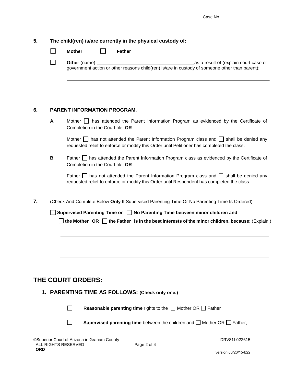|    | $\mathsf{L}$ | Other (name) _<br>as a result of (explain court case or<br>government action or other reasons child(ren) is/are in custody of someone other than parent):                                        |
|----|--------------|--------------------------------------------------------------------------------------------------------------------------------------------------------------------------------------------------|
|    |              |                                                                                                                                                                                                  |
|    |              |                                                                                                                                                                                                  |
|    |              |                                                                                                                                                                                                  |
| 6. |              | <b>PARENT INFORMATION PROGRAM.</b>                                                                                                                                                               |
|    | Α.           | Mother $\Box$ has attended the Parent Information Program as evidenced by the Certificate of<br>Completion in the Court file, OR                                                                 |
|    |              | Mother $\Box$ has not attended the Parent Information Program class and $\Box$ shall be denied any<br>requested relief to enforce or modify this Order until Petitioner has completed the class. |
|    | <b>B.</b>    | Father I has attended the Parent Information Program class as evidenced by the Certificate of<br>Completion in the Court file, OR                                                                |
|    |              | Father $\Box$ has not attended the Parent Information Program class and $\Box$ shall be denied any<br>requested relief to enforce or modify this Order until Respondent has completed the class. |
| 7. |              | (Check And Complete Below Only If Supervised Parenting Time Or No Parenting Time Is Ordered)                                                                                                     |
|    |              | Supervised Parenting Time or □ No Parenting Time between minor children and                                                                                                                      |
|    |              | $\Box$ the Mother OR $\Box$ the Father is in the best interests of the minor children, because: (Explain.)                                                                                       |
|    |              |                                                                                                                                                                                                  |
|    |              |                                                                                                                                                                                                  |
|    |              |                                                                                                                                                                                                  |
|    |              |                                                                                                                                                                                                  |
|    |              | <b>THE COURT ORDERS:</b>                                                                                                                                                                         |
|    |              | 1. PARENTING TIME AS FOLLOWS: (Check only one.)                                                                                                                                                  |
|    |              |                                                                                                                                                                                                  |

 $\Box$ **Reasonable parenting time** rights to the  $\Box$  Mother OR  $\Box$  Father

**Supervised parenting time** between the children and  $\Box$  Mother OR  $\Box$  Father,

 $\Box$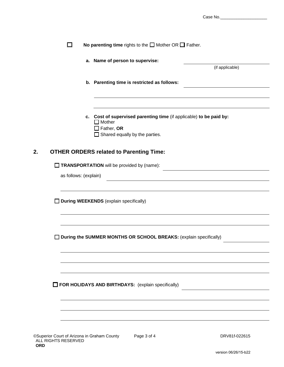| Case No. |
|----------|
|----------|

|                          | a. Name of person to supervise:<br>(if applicable)                                                                                                 |
|--------------------------|----------------------------------------------------------------------------------------------------------------------------------------------------|
|                          | b. Parenting time is restricted as follows:                                                                                                        |
|                          | c. Cost of supervised parenting time (if applicable) to be paid by:<br>$\Box$ Mother<br>$\Box$ Father, OR<br>$\Box$ Shared equally by the parties. |
|                          | <b>OTHER ORDERS related to Parenting Time:</b>                                                                                                     |
|                          | TRANSPORTATION will be provided by (name):                                                                                                         |
| as follows: (explain)    |                                                                                                                                                    |
|                          |                                                                                                                                                    |
|                          |                                                                                                                                                    |
|                          | During WEEKENDS (explain specifically)                                                                                                             |
|                          |                                                                                                                                                    |
| $\overline{\phantom{a}}$ | During the SUMMER MONTHS OR SCHOOL BREAKS: (explain specifically)                                                                                  |
|                          |                                                                                                                                                    |
|                          |                                                                                                                                                    |
|                          | FOR HOLIDAYS AND BIRTHDAYS: (explain specifically)                                                                                                 |
|                          |                                                                                                                                                    |

**ORD**